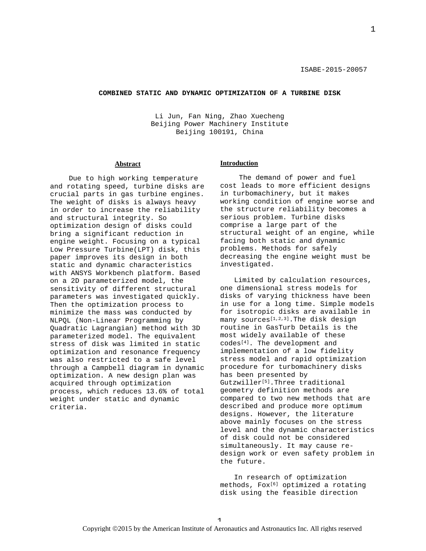1

#### **COMBINED STATIC AND DYNAMIC OPTIMIZATION OF A TURBINE DISK**

Li Jun, Fan Ning, Zhao Xuecheng Beijing Power Machinery Institute Beijing 100191, China

### **Abstract**

Due to high working temperature and rotating speed, turbine disks are crucial parts in gas turbine engines. The weight of disks is always heavy in order to increase the reliability and structural integrity. So optimization design of disks could bring a significant reduction in engine weight. Focusing on a typical Low Pressure Turbine(LPT) disk, this paper improves its design in both static and dynamic characteristics with ANSYS Workbench platform. Based on a 2D parameterized model, the sensitivity of different structural parameters was investigated quickly. Then the optimization process to minimize the mass was conducted by NLPQL (Non-Linear Programming by Quadratic Lagrangian) method with 3D parameterized model. The equivalent stress of disk was limited in static optimization and resonance frequency was also restricted to a safe level through a Campbell diagram in dynamic optimization. A new design plan was acquired through optimization process, which reduces 13.6% of total weight under static and dynamic criteria.

#### **Introduction**

The demand of power and fuel cost leads to more efficient designs in turbomachinery, but it makes working condition of engine worse and the structure reliability becomes a serious problem. Turbine disks comprise a large part of the structural weight of an engine, while facing both static and dynamic problems. Methods for safely decreasing the engine weight must be investigated.

Limited by calculation resources, one dimensional stress models for disks of varying thickness have been in use for a long time. Simple models for isotropic disks are available in many sources $[1,2,3]$ . The disk design routine in GasTurb Details is the most widely available of these codes[4]. The development and implementation of a low fidelity stress model and rapid optimization procedure for turbomachinery disks has been presented by Gutzwiller<sup>[5]</sup>.Three traditional geometry definition methods are compared to two new methods that are described and produce more optimum designs. However, the literature above mainly focuses on the stress level and the dynamic characteristics of disk could not be considered simultaneously. It may cause redesign work or even safety problem in the future.

In research of optimization methods, Fox<sup>[6]</sup> optimized a rotating disk using the feasible direction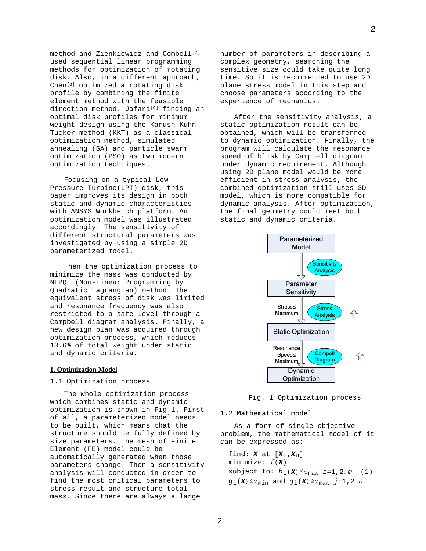method and Zienkiewicz and Combell<sup>[7]</sup> used sequential linear programming methods for optimization of rotating disk. Also, in a different approach, Chen[8] optimized a rotating disk profile by combining the finite element method with the feasible direction method. Jafari<sup>[9]</sup> finding an optimal disk profiles for minimum weight design using the Karush-Kuhn-Tucker method (KKT) as a classical optimization method, simulated annealing (SA) and particle swarm optimization (PSO) as two modern optimization techniques.

Focusing on a typical Low Pressure Turbine(LPT) disk, this paper improves its design in both static and dynamic characteristics with ANSYS Workbench platform. An optimization model was illustrated accordingly. The sensitivity of different structural parameters was investigated by using a simple 2D parameterized model.

Then the optimization process to minimize the mass was conducted by NLPQL (Non-Linear Programming by Quadratic Lagrangian) method. The equivalent stress of disk was limited and resonance frequency was also restricted to a safe level through a Campbell diagram analysis. Finally, a new design plan was acquired through optimization process, which reduces 13.6% of total weight under static and dynamic criteria.

#### **1. Optimization Model**

# 1.1 Optimization process

The whole optimization process which combines static and dynamic optimization is shown in Fig.1. First of all, a parameterized model needs to be built, which means that the structure should be fully defined by size parameters. The mesh of Finite Element (FE) model could be automatically generated when those parameters change. Then a sensitivity analysis will conducted in order to find the most critical parameters to stress result and structure total mass. Since there are always a large

number of parameters in describing a complex geometry, searching the sensitive size could take quite long time. So it is recommended to use 2D plane stress model in this step and choose parameters according to the experience of mechanics.

After the sensitivity analysis, a static optimization result can be obtained, which will be transferred to dynamic optimization. Finally, the program will calculate the resonance speed of blisk by Campbell diagram under dynamic requirement. Although using 2D plane model would be more efficient in stress analysis, the combined optimization still uses 3D model, which is more compatible for dynamic analysis. After optimization, the final geometry could meet both static and dynamic criteria.



### Fig. 1 Optimization process

### 1.2 Mathematical model

As a form of single-objective problem, the mathematical model of it can be expressed as:

find:  $\boldsymbol{X}$  at  $[\boldsymbol{X}_{\text{L}}, \boldsymbol{X}_{\text{U}}]$ minimize: *f*(*X*) subject to:  $h_i(\mathbf{X}) \leq \sigma_{\text{max}}$  *i*=1,2…*m* (1)  $g$ <sub>i</sub>(*X*)≤ω<sub>min</sub> and  $g$ <sub>i</sub>(*X*)≥ω<sub>max</sub> *j*=1,2…*n*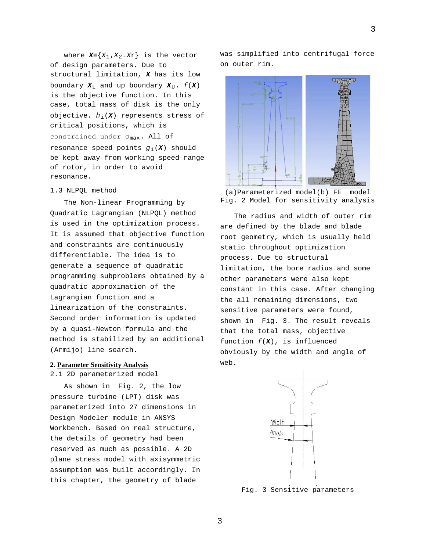where  $X = \{X_1, X_2, ... X_r\}$  is the vector of design parameters. Due to structural limitation, *X* has its low boundary  $X_L$  and up boundary  $X_U$ .  $f(X)$ is the objective function. In this case, total mass of disk is the only objective. *h*i(*X*) represents stress of critical positions, which is constrained under σmax. All of resonance speed points  $g_i(\boldsymbol{X})$  should be kept away from working speed range of rotor, in order to avoid resonance.

# 1.3 NLPQL method

The Non-linear Programming by Quadratic Lagrangian (NLPQL) method is used in the optimization process. It is assumed that objective function and constraints are continuously differentiable. The idea is to generate a sequence of quadratic programming subproblems obtained by a quadratic approximation of the Lagrangian function and a linearization of the constraints. Second order information is updated by a quasi-Newton formula and the method is stabilized by an additional (Armijo) line search.

#### **2. Parameter Sensitivity Analysis**

## 2.1 2D parameterized model

As shown in Fig. 2, the low pressure turbine (LPT) disk was parameterized into 27 dimensions in Design Modeler module in ANSYS Workbench. Based on real structure, the details of geometry had been reserved as much as possible. A 2D plane stress model with axisymmetric assumption was built accordingly. In this chapter, the geometry of blade

was simplified into centrifugal force on outer rim.



(a)Parameterized model(b) FE model Fig. 2 Model for sensitivity analysis

The radius and width of outer rim are defined by the blade and blade root geometry, which is usually held static throughout optimization process. Due to structural limitation, the bore radius and some other parameters were also kept constant in this case. After changing the all remaining dimensions, two sensitive parameters were found, shown in Fig. 3. The result reveals that the total mass, objective function *f*(*X*), is influenced obviously by the width and angle of web.



Fig. 3 Sensitive parameters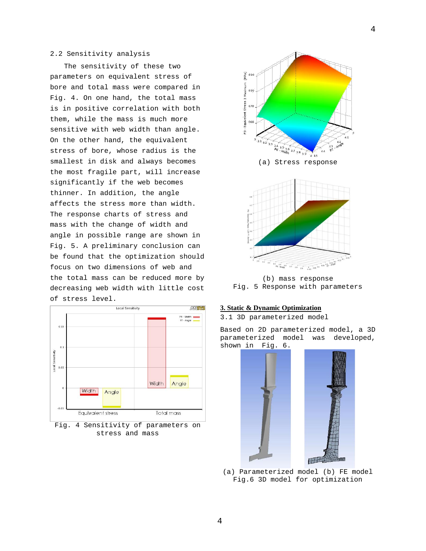# 2.2 Sensitivity analysis

The sensitivity of these two parameters on equivalent stress of bore and total mass were compared in Fig. 4. On one hand, the total mass is in positive correlation with both them, while the mass is much more sensitive with web width than angle. On the other hand, the equivalent stress of bore, whose radius is the smallest in disk and always becomes the most fragile part, will increase significantly if the web becomes thinner. In addition, the angle affects the stress more than width. The response charts of stress and mass with the change of width and angle in possible range are shown in Fig. 5. A preliminary conclusion can be found that the optimization should focus on two dimensions of web and the total mass can be reduced more by decreasing web width with little cost of stress level.



Fig. 4 Sensitivity of parameters on stress and mass



Fig. 5 Response with parameters

# **3. Static & Dynamic Optimization**

3.1 3D parameterized model

Based on 2D parameterized model, a 3D parameterized model was developed, shown in Fig. 6.



(a) Parameterized model (b) FE model Fig.6 3D model for optimization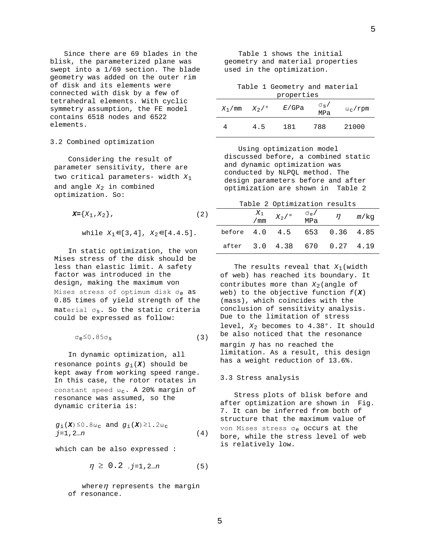Since there are 69 blades in the blisk, the parameterized plane was swept into a 1/69 section. The blade geometry was added on the outer rim of disk and its elements were connected with disk by a few of tetrahedral elements. With cyclic symmetry assumption, the FE model contains 6518 nodes and 6522 elements.

## 3.2 Combined optimization

Considering the result of parameter sensitivity, there are two critical parameters- width *X*<sup>1</sup> and angle *X*<sup>2</sup> in combined optimization. So:

$$
\mathbf{X} = \{X_1, X_2\},\tag{2}
$$

while 
$$
X_1 \in [3, 4]
$$
,  $X_2 \in [4.4.5]$ .

In static optimization, the von Mises stress of the disk should be less than elastic limit. A safety factor was introduced in the design, making the maximum von Mises stress of optimum disk  $\sigma_e$  as 0.85 times of yield strength of the material  $\sigma_{\rm s}$ . So the static criteria could be expressed as follow:

$$
\sigma_{\rm e}^{\leq 0.85 \sigma_{\rm s}} \tag{3}
$$

In dynamic optimization, all resonance points  $g_i(X)$  should be kept away from working speed range. In this case, the rotor rotates in constant speed  $\omega_c$ . A 20% margin of resonance was assumed, so the dynamic criteria is:

$$
g_1(\mathbf{X}) \leq 0.8\omega_c
$$
 and  $g_1(\mathbf{X}) \geq 1.2\omega_c$   
 $j=1, 2...n$  (4)

which can be also expressed :

 $\eta \geq 0.2$ ,  $j=1,2...n$  (5)

where $\eta$  represents the margin of resonance.

|  |                           | Table 1 shows the initial        |  |
|--|---------------------------|----------------------------------|--|
|  |                           | geometry and material properties |  |
|  | used in the optimization. |                                  |  |

Table 1 Geometry and material properties

| $X_1/mm$ | $X_2/$ ° | E/GPa | $\sigma_{\rm s}$ / | $\omega_c$ /rpm |
|----------|----------|-------|--------------------|-----------------|
|          |          |       | MPa                |                 |
|          | 4.5      | 181   | 788                | 21000           |

Using optimization model discussed before, a combined static and dynamic optimization was conducted by NLPQL method. The design parameters before and after optimization are shown in Table 2

Table 2 Optimization results

|                              | $X_1$<br>/ mm | $X_2/$ ° | $\sigma_e/$<br>MPa | $\eta$                 | m/kg |
|------------------------------|---------------|----------|--------------------|------------------------|------|
| before 4.0 4.5 653 0.36 4.85 |               |          |                    |                        |      |
| after                        |               |          |                    | 3.0 4.38 670 0.27 4.19 |      |

The results reveal that *X*1(width of web) has reached its boundary. It contributes more than  $X_2$  (angle of web) to the objective function *f*(*X*) (mass), which coincides with the conclusion of sensitivity analysis. Due to the limitation of stress level, *X*<sup>2</sup> becomes to 4.38°. It should be also noticed that the resonance margin  $\eta$  has no reached the limitation. As a result, this design has a weight reduction of 13.6%.

#### 3.3 Stress analysis

Stress plots of blisk before and after optimization are shown in Fig. 7. It can be inferred from both of structure that the maximum value of von Mises stress σe occurs at the bore, while the stress level of web is relatively low.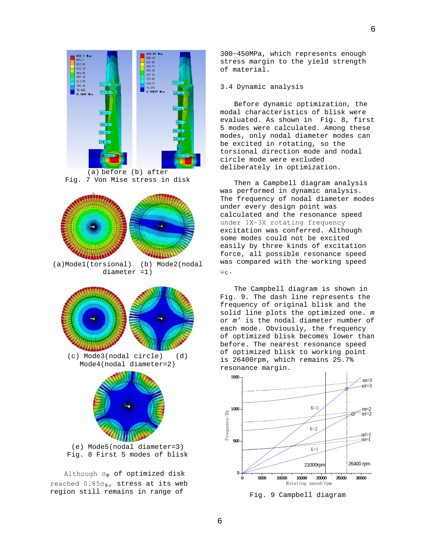

(a) before (b) after Fig. 7 Von Mise stress in disk



(a)Mode1(torsional) (b) Mode2(nodal diameter =1)



(e) Mode5(nodal diameter=3) Fig. 8 First 5 modes of blisk

Although σe of optimized disk reached  $0.85\sigma_s$ , stress at its web region still remains in range of

300~450MPa, which represents enough stress margin to the yield strength of material.

### 3.4 Dynamic analysis

Before dynamic optimization, the modal characteristics of blisk were evaluated. As shown in Fig. 8, first 5 modes were calculated. Among these modes, only nodal diameter modes can be excited in rotating, so the torsional direction mode and nodal circle mode were excluded deliberately in optimization.

Then a Campbell diagram analysis was performed in dynamic analysis. The frequency of nodal diameter modes under every design point was calculated and the resonance speed under 1Χ~3Χ rotating frequency excitation was conferred. Although some modes could not be excited easily by three kinds of excitation force, all possible resonance speed was compared with the working speed  $\omega_{\rm C}$ .

The Campbell diagram is shown in Fig. 9. The dash line represents the frequency of original blisk and the solid line plots the optimized one. *m* or *m'* is the nodal diameter number of each mode. Obviously, the frequency of optimized blisk becomes lower than before. The nearest resonance speed of optimized blisk to working point is 26400rpm, which remains 25.7% resonance margin.



Fig. 9 Campbell diagram